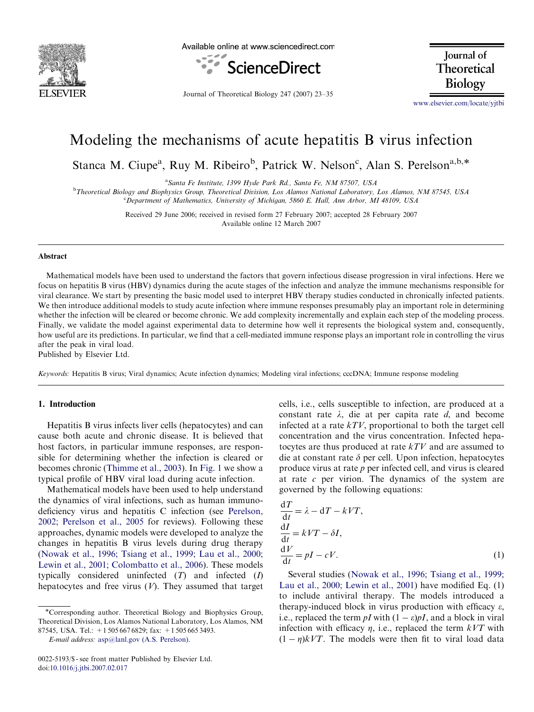

Available online at www.sciencedirect.com



Journal of Theoretical Biology

Journal of Theoretical Biology 247 (2007) 23–35

<www.elsevier.com/locate/yjtbi>

# Modeling the mechanisms of acute hepatitis B virus infection

Stanca M. Ciupe<sup>a</sup>, Ruy M. Ribeiro<sup>b</sup>, Patrick W. Nelson<sup>c</sup>, Alan S. Perelson<sup>a,b,\*</sup>

<sup>a</sup>Santa Fe Institute, 1399 Hyde Park Rd., Santa Fe, NM 87507, USA

<sup>b</sup>Theoretical Biology and Biophysics Group, Theoretical Division, Los Alamos National Laboratory, Los Alamos, NM 87545, USA <sup>c</sup>Department of Mathematics, University of Michigan, 5860 E. Hall, Ann Arbor, MI 48109, USA

> Received 29 June 2006; received in revised form 27 February 2007; accepted 28 February 2007 Available online 12 March 2007

#### Abstract

Mathematical models have been used to understand the factors that govern infectious disease progression in viral infections. Here we focus on hepatitis B virus (HBV) dynamics during the acute stages of the infection and analyze the immune mechanisms responsible for viral clearance. We start by presenting the basic model used to interpret HBV therapy studies conducted in chronically infected patients. We then introduce additional models to study acute infection where immune responses presumably play an important role in determining whether the infection will be cleared or become chronic. We add complexity incrementally and explain each step of the modeling process. Finally, we validate the model against experimental data to determine how well it represents the biological system and, consequently, how useful are its predictions. In particular, we find that a cell-mediated immune response plays an important role in controlling the virus after the peak in viral load.

Published by Elsevier Ltd.

Keywords: Hepatitis B virus; Viral dynamics; Acute infection dynamics; Modeling viral infections; cccDNA; Immune response modeling

# 1. Introduction

Hepatitis B virus infects liver cells (hepatocytes) and can cause both acute and chronic disease. It is believed that host factors, in particular immune responses, are responsible for determining whether the infection is cleared or becomes chronic ([Thimme et al., 2003\)](#page-12-0). In [Fig. 1](#page-1-0) we show a typical profile of HBV viral load during acute infection.

Mathematical models have been used to help understand the dynamics of viral infections, such as human immunodeficiency virus and hepatitis C infection (see [Perelson,](#page-11-0) [2002; Perelson et al., 2005](#page-11-0) for reviews). Following these approaches, dynamic models were developed to analyze the changes in hepatitis B virus levels during drug therapy ([Nowak et al., 1996; Tsiang et al., 1999; Lau et al., 2000;](#page-11-0) [Lewin et al., 2001; Colombatto et al., 2006](#page-11-0)). These models typically considered uninfected  $(T)$  and infected  $(I)$ hepatocytes and free virus  $(V)$ . They assumed that target

E-mail address: [asp@lanl.gov \(A.S. Perelson\).](mailto:asp@lanl.gov)

cells, i.e., cells susceptible to infection, are produced at a constant rate  $\lambda$ , die at per capita rate d, and become infected at a rate  $kTV$ , proportional to both the target cell concentration and the virus concentration. Infected hepatocytes are thus produced at rate kTV and are assumed to die at constant rate  $\delta$  per cell. Upon infection, hepatocytes produce virus at rate  $p$  per infected cell, and virus is cleared at rate  $c$  per virion. The dynamics of the system are governed by the following equations:

$$
\frac{dT}{dt} = \lambda - dT - kVT,\n\frac{dI}{dt} = kVT - \delta I,\n\frac{dV}{dt} = pI - cV.
$$
\n(1)

Several studies ([Nowak et al., 1996; Tsiang et al., 1999;](#page-11-0) [Lau et al., 2000; Lewin et al., 2001](#page-11-0)) have modified Eq. (1) to include antiviral therapy. The models introduced a therapy-induced block in virus production with efficacy  $\varepsilon$ , i.e., replaced the term pI with  $(1 - \varepsilon)pI$ , and a block in viral infection with efficacy  $\eta$ , i.e., replaced the term  $kVT$  with  $(1 - \eta)kVT$ . The models were then fit to viral load data

<sup>\*</sup>Corresponding author. Theoretical Biology and Biophysics Group, Theoretical Division, Los Alamos National Laboratory, Los Alamos, NM 87545, USA. Tel.: +1 505 667 6829; fax: +1 505 665 3493.

<sup>0022-5193/\$ -</sup> see front matter Published by Elsevier Ltd. doi:[10.1016/j.jtbi.2007.02.017](dx.doi.org/10.1016/j.jtbi.2007.02.017)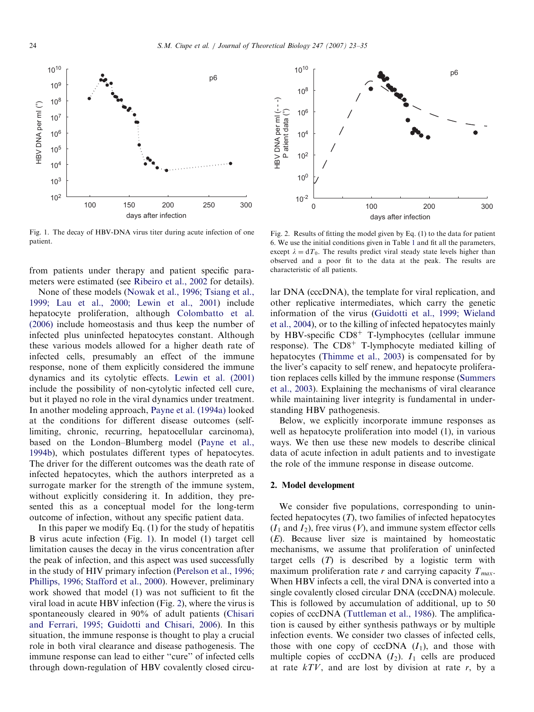<span id="page-1-0"></span>

Fig. 1. The decay of HBV-DNA virus titer during acute infection of one patient.

from patients under therapy and patient specific parameters were estimated (see [Ribeiro et al., 2002](#page-11-0) for details).

None of these models ([Nowak et al., 1996; Tsiang et al.,](#page-11-0) [1999; Lau et al., 2000; Lewin et al., 2001](#page-11-0)) include hepatocyte proliferation, although [Colombatto et al.](#page-11-0) [\(2006\)](#page-11-0) include homeostasis and thus keep the number of infected plus uninfected hepatocytes constant. Although these various models allowed for a higher death rate of infected cells, presumably an effect of the immune response, none of them explicitly considered the immune dynamics and its cytolytic effects. [Lewin et al. \(2001\)](#page-11-0) include the possibility of non-cytolytic infected cell cure, but it played no role in the viral dynamics under treatment. In another modeling approach, [Payne et al. \(1994a\)](#page-11-0) looked at the conditions for different disease outcomes (selflimiting, chronic, recurring, hepatocellular carcinoma), based on the London–Blumberg model [\(Payne et al.,](#page-11-0) [1994b](#page-11-0)), which postulates different types of hepatocytes. The driver for the different outcomes was the death rate of infected hepatocytes, which the authors interpreted as a surrogate marker for the strength of the immune system, without explicitly considering it. In addition, they presented this as a conceptual model for the long-term outcome of infection, without any specific patient data.

In this paper we modify Eq. (1) for the study of hepatitis B virus acute infection (Fig. 1). In model (1) target cell limitation causes the decay in the virus concentration after the peak of infection, and this aspect was used successfully in the study of HIV primary infection ([Perelson et al., 1996;](#page-11-0) [Phillips, 1996; Stafford et al., 2000](#page-11-0)). However, preliminary work showed that model (1) was not sufficient to fit the viral load in acute HBV infection (Fig. 2), where the virus is spontaneously cleared in 90% of adult patients ([Chisari](#page-11-0) [and Ferrari, 1995; Guidotti and Chisari, 2006](#page-11-0)). In this situation, the immune response is thought to play a crucial role in both viral clearance and disease pathogenesis. The immune response can lead to either ''cure'' of infected cells through down-regulation of HBV covalently closed circu-



Fig. 2. Results of fitting the model given by Eq. (1) to the data for patient 6. We use the initial conditions given in Table [1](#page-3-0) and fit all the parameters, except  $\lambda = dT_0$ . The results predict viral steady state levels higher than observed and a poor fit to the data at the peak. The results are characteristic of all patients.

lar DNA (cccDNA), the template for viral replication, and other replicative intermediates, which carry the genetic information of the virus ([Guidotti et al., 1999; Wieland](#page-11-0) [et al., 2004](#page-11-0)), or to the killing of infected hepatocytes mainly by HBV-specific  $CD8<sup>+</sup>$  T-lymphocytes (cellular immune response). The  $CD8<sup>+</sup>$  T-lymphocyte mediated killing of hepatocytes [\(Thimme et al., 2003\)](#page-12-0) is compensated for by the liver's capacity to self renew, and hepatocyte proliferation replaces cells killed by the immune response [\(Summers](#page-11-0) [et al., 2003\)](#page-11-0). Explaining the mechanisms of viral clearance while maintaining liver integrity is fundamental in understanding HBV pathogenesis.

Below, we explicitly incorporate immune responses as well as hepatocyte proliferation into model (1), in various ways. We then use these new models to describe clinical data of acute infection in adult patients and to investigate the role of the immune response in disease outcome.

#### 2. Model development

We consider five populations, corresponding to uninfected hepatocytes  $(T)$ , two families of infected hepatocytes  $(I_1$  and  $I_2$ ), free virus  $(V)$ , and immune system effector cells (E). Because liver size is maintained by homeostatic mechanisms, we assume that proliferation of uninfected target cells  $(T)$  is described by a logistic term with maximum proliferation rate r and carrying capacity  $T_{max}$ . When HBV infects a cell, the viral DNA is converted into a single covalently closed circular DNA (cccDNA) molecule. This is followed by accumulation of additional, up to 50 copies of cccDNA ([Tuttleman et al., 1986\)](#page-12-0). The amplification is caused by either synthesis pathways or by multiple infection events. We consider two classes of infected cells, those with one copy of cccDNA  $(I_1)$ , and those with multiple copies of cccDNA  $(I_2)$ .  $I_1$  cells are produced at rate  $kTV$ , and are lost by division at rate r, by a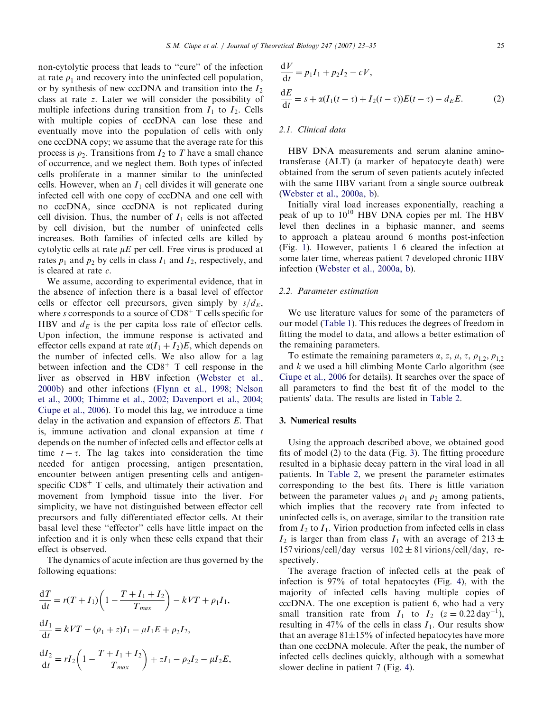non-cytolytic process that leads to ''cure'' of the infection at rate  $\rho_1$  and recovery into the uninfected cell population, or by synthesis of new cccDNA and transition into the  $I_2$ class at rate z. Later we will consider the possibility of multiple infections during transition from  $I_1$  to  $I_2$ . Cells with multiple copies of cccDNA can lose these and eventually move into the population of cells with only one cccDNA copy; we assume that the average rate for this process is  $\rho_2$ . Transitions from  $I_2$  to T have a small chance of occurrence, and we neglect them. Both types of infected cells proliferate in a manner similar to the uninfected cells. However, when an  $I_1$  cell divides it will generate one infected cell with one copy of cccDNA and one cell with no cccDNA, since cccDNA is not replicated during cell division. Thus, the number of  $I_1$  cells is not affected by cell division, but the number of uninfected cells increases. Both families of infected cells are killed by cytolytic cells at rate  $\mu E$  per cell. Free virus is produced at rates  $p_1$  and  $p_2$  by cells in class  $I_1$  and  $I_2$ , respectively, and is cleared at rate c.

We assume, according to experimental evidence, that in the absence of infection there is a basal level of effector cells or effector cell precursors, given simply by  $s/d_E$ , where s corresponds to a source of  $CD8<sup>+</sup>$  T cells specific for HBV and  $d_E$  is the per capita loss rate of effector cells. Upon infection, the immune response is activated and effector cells expand at rate  $\alpha(I_1 + I_2)E$ , which depends on the number of infected cells. We also allow for a lag between infection and the  $CD8<sup>+</sup>$  T cell response in the liver as observed in HBV infection ([Webster et al.,](#page-12-0) [2000b\)](#page-12-0) and other infections ([Flynn et al., 1998; Nelson](#page-11-0) [et al., 2000; Thimme et al., 2002; Davenport et al., 2004;](#page-11-0) [Ciupe et al., 2006\)](#page-11-0). To model this lag, we introduce a time delay in the activation and expansion of effectors E. That is, immune activation and clonal expansion at time t depends on the number of infected cells and effector cells at time  $t - \tau$ . The lag takes into consideration the time needed for antigen processing, antigen presentation, encounter between antigen presenting cells and antigenspecific  $CD8<sup>+</sup>$  T cells, and ultimately their activation and movement from lymphoid tissue into the liver. For simplicity, we have not distinguished between effector cell precursors and fully differentiated effector cells. At their basal level these ''effector'' cells have little impact on the infection and it is only when these cells expand that their effect is observed.

The dynamics of acute infection are thus governed by the following equations:

$$
\frac{dT}{dt} = r(T + I_1) \left( 1 - \frac{T + I_1 + I_2}{T_{max}} \right) - kVT + \rho_1 I_1,
$$
  
\n
$$
\frac{dI_1}{dt} = kVT - (\rho_1 + z)I_1 - \mu I_1 E + \rho_2 I_2,
$$
  
\n
$$
\frac{dI_2}{dt} = rI_2 \left( 1 - \frac{T + I_1 + I_2}{T_{max}} \right) + zI_1 - \rho_2 I_2 - \mu I_2 E,
$$

$$
\frac{dV}{dt} = p_1 I_1 + p_2 I_2 - cV,
$$
  
\n
$$
\frac{dE}{dt} = s + \alpha (I_1(t - \tau) + I_2(t - \tau))E(t - \tau) - d_E E.
$$
 (2)

## 2.1. Clinical data

HBV DNA measurements and serum alanine aminotransferase (ALT) (a marker of hepatocyte death) were obtained from the serum of seven patients acutely infected with the same HBV variant from a single source outbreak ([Webster et al., 2000a, b](#page-12-0)).

Initially viral load increases exponentially, reaching a peak of up to  $10^{10}$  HBV DNA copies per ml. The HBV level then declines in a biphasic manner, and seems to approach a plateau around 6 months post-infection (Fig. [1\)](#page-1-0). However, patients 1–6 cleared the infection at some later time, whereas patient 7 developed chronic HBV infection [\(Webster et al., 2000a, b\)](#page-12-0).

#### 2.2. Parameter estimation

We use literature values for some of the parameters of our model ([Table 1](#page-3-0)). This reduces the degrees of freedom in fitting the model to data, and allows a better estimation of the remaining parameters.

To estimate the remaining parameters  $\alpha$ , z,  $\mu$ ,  $\tau$ ,  $\rho_{1,2}$ ,  $p_{1,2}$ and  $k$  we used a hill climbing Monte Carlo algorithm (see [Ciupe et al., 2006](#page-11-0) for details). It searches over the space of all parameters to find the best fit of the model to the patients' data. The results are listed in [Table 2.](#page-3-0)

## 3. Numerical results

Using the approach described above, we obtained good fits of model (2) to the data (Fig. [3](#page-4-0)). The fitting procedure resulted in a biphasic decay pattern in the viral load in all patients. In [Table 2,](#page-3-0) we present the parameter estimates corresponding to the best fits. There is little variation between the parameter values  $\rho_1$  and  $\rho_2$  among patients, which implies that the recovery rate from infected to uninfected cells is, on average, similar to the transition rate from  $I_2$  to  $I_1$ . Virion production from infected cells in class  $I_2$  is larger than from class  $I_1$  with an average of 213  $\pm$ 157 virions/cell/day versus  $102 \pm 81$  virions/cell/day, respectively.

The average fraction of infected cells at the peak of infection is 97% of total hepatocytes (Fig. [4\)](#page-4-0), with the majority of infected cells having multiple copies of cccDNA. The one exception is patient 6, who had a very small transition rate from  $I_1$  to  $I_2$  ( $z = 0.22 \text{ day}^{-1}$ ), resulting in 47% of the cells in class  $I_1$ . Our results show that an average  $81\pm15\%$  of infected hepatocytes have more than one cccDNA molecule. After the peak, the number of infected cells declines quickly, although with a somewhat slower decline in patient 7 (Fig. [4\)](#page-4-0).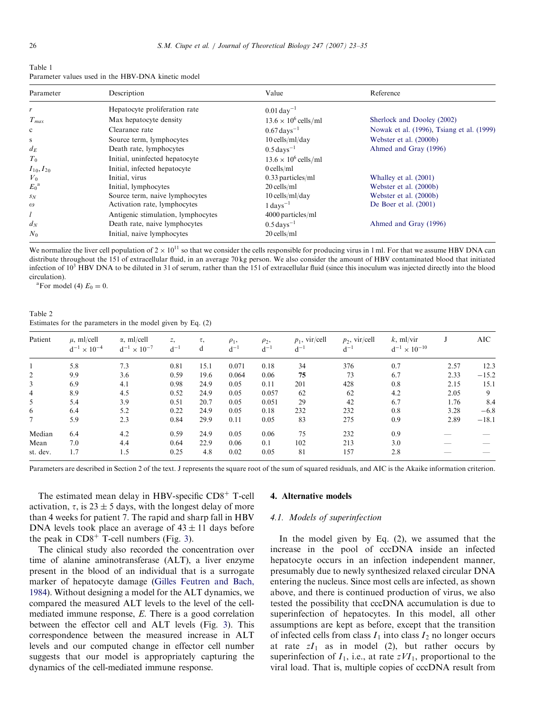<span id="page-3-0"></span>

| Table 1                                            |  |
|----------------------------------------------------|--|
| Parameter values used in the HBV-DNA kinetic model |  |

| Parameter           | Description                        | Value                       | Reference                                 |  |  |  |
|---------------------|------------------------------------|-----------------------------|-------------------------------------------|--|--|--|
|                     | Hepatocyte proliferation rate      | $0.01 \,\text{day}^{-1}$    |                                           |  |  |  |
| $T_{max}$           | Max hepatocyte density             | $13.6 \times 10^6$ cells/ml | Sherlock and Dooley (2002)                |  |  |  |
| $\mathbf c$         | Clearance rate                     | $0.67 \,\text{days}^{-1}$   | Nowak et al. (1996), Tsiang et al. (1999) |  |  |  |
| s                   | Source term, lymphocytes           | $10$ cells/ml/day           | Webster et al. (2000b)                    |  |  |  |
| $d_E$               | Death rate, lymphocytes            | $0.5 \,\text{days}^{-1}$    | Ahmed and Gray (1996)                     |  |  |  |
| $T_0$               | Initial, uninfected hepatocyte     | $13.6 \times 10^6$ cells/ml |                                           |  |  |  |
| $I_{10}$ , $I_{20}$ | Initial, infected hepatocyte       | $0$ cells/ml                |                                           |  |  |  |
| $V_0$               | Initial, virus                     | $0.33$ particles/ml         | Whalley et al. (2001)                     |  |  |  |
| $E_0^{\rm a}$       | Initial, lymphocytes               | $20$ cells/ml               | Webster et al. (2000b)                    |  |  |  |
| $S_N$               | Source term, naive lymphocytes     | $10$ cells/ml/day           | Webster et al. (2000b)                    |  |  |  |
| $\omega$            | Activation rate, lymphocytes       | $1 \text{ days}^{-1}$       | De Boer et al. $(2001)$                   |  |  |  |
| l                   | Antigenic stimulation, lymphocytes | 4000 particles/ml           |                                           |  |  |  |
| $d_N$               | Death rate, naive lymphocytes      | $0.5 \text{ days}^{-1}$     | Ahmed and Gray (1996)                     |  |  |  |
| $N_0$               | Initial, naive lymphocytes         | $20$ cells/ml               |                                           |  |  |  |

We normalize the liver cell population of  $2 \times 10^{11}$  so that we consider the cells responsible for producing virus in 1 ml. For that we assume HBV DNA can distribute throughout the 15 l of extracellular fluid, in an average 70 kg person. We also consider the amount of HBV contaminated blood that initiated infection of  $10<sup>3</sup>$  HBV DNA to be diluted in 31 of serum, rather than the 151 of extracellular fluid (since this inoculum was injected directly into the blood circulation).

<sup>a</sup>For model (4)  $E_0 = 0$ .

Table 2 Estimates for the parameters in the model given by Eq. (2)

| Patient        | $\mu$ , ml/cell<br>$d^{-1} \times 10^{-4}$ | $\alpha$ , ml/cell<br>$d^{-1} \times 10^{-7}$ | Z,<br>$d^{-1}$ | τ,<br>d | $\rho_1$ ,<br>$d^{-1}$ | $\rho_2$ ,<br>$d^{-1}$ | $p_1$ , vir/cell<br>$d^{-1}$ | $p_2$ , vir/cell<br>$d^{-1}$ | $k$ , ml/vir<br>$d^{-1} \times 10^{-10}$ |      | AIC     |
|----------------|--------------------------------------------|-----------------------------------------------|----------------|---------|------------------------|------------------------|------------------------------|------------------------------|------------------------------------------|------|---------|
|                | 5.8                                        | 7.3                                           | 0.81           | 15.1    | 0.071                  | 0.18                   | 34                           | 376                          | 0.7                                      | 2.57 | 12.3    |
| $\overline{2}$ | 9.9                                        | 3.6                                           | 0.59           | 19.6    | 0.064                  | 0.06                   | 75                           | 73                           | 6.7                                      | 2.33 | $-15.2$ |
| 3              | 6.9                                        | 4.1                                           | 0.98           | 24.9    | 0.05                   | 0.11                   | 201                          | 428                          | 0.8                                      | 2.15 | 15.1    |
| $\overline{4}$ | 8.9                                        | 4.5                                           | 0.52           | 24.9    | 0.05                   | 0.057                  | 62                           | 62                           | 4.2                                      | 2.05 | 9       |
| 5              | 5.4                                        | 3.9                                           | 0.51           | 20.7    | 0.05                   | 0.051                  | 29                           | 42                           | 6.7                                      | 1.76 | 8.4     |
| 6              | 6.4                                        | 5.2                                           | 0.22           | 24.9    | 0.05                   | 0.18                   | 232                          | 232                          | 0.8                                      | 3.28 | $-6.8$  |
|                | 5.9                                        | 2.3                                           | 0.84           | 29.9    | 0.11                   | 0.05                   | 83                           | 275                          | 0.9                                      | 2.89 | $-18.1$ |
| Median         | 6.4                                        | 4.2                                           | 0.59           | 24.9    | 0.05                   | 0.06                   | 75                           | 232                          | 0.9                                      |      |         |
| Mean           | 7.0                                        | 4.4                                           | 0.64           | 22.9    | 0.06                   | 0.1                    | 102                          | 213                          | 3.0                                      |      |         |
| st. dev.       | 1.7                                        | 1.5                                           | 0.25           | 4.8     | 0.02                   | 0.05                   | 81                           | 157                          | 2.8                                      |      |         |

Parameters are described in Section 2 of the text. J represents the square root of the sum of squared residuals, and AIC is the Akaike information criterion.

The estimated mean delay in HBV-specific  $CD8<sup>+</sup>$  T-cell activation,  $\tau$ , is 23  $\pm$  5 days, with the longest delay of more than 4 weeks for patient 7. The rapid and sharp fall in HBV DNA levels took place an average of  $43 \pm 11$  days before the peak in  $CD8<sup>+</sup>$  T-cell numbers (Fig. [3](#page-4-0)).

The clinical study also recorded the concentration over time of alanine aminotransferase (ALT), a liver enzyme present in the blood of an individual that is a surrogate marker of hepatocyte damage [\(Gilles Feutren and Bach,](#page-11-0) [1984](#page-11-0)). Without designing a model for the ALT dynamics, we compared the measured ALT levels to the level of the cellmediated immune response, E. There is a good correlation between the effector cell and ALT levels (Fig. [3\)](#page-4-0). This correspondence between the measured increase in ALT levels and our computed change in effector cell number suggests that our model is appropriately capturing the dynamics of the cell-mediated immune response.

#### 4. Alternative models

#### 4.1. Models of superinfection

In the model given by Eq. (2), we assumed that the increase in the pool of cccDNA inside an infected hepatocyte occurs in an infection independent manner, presumably due to newly synthesized relaxed circular DNA entering the nucleus. Since most cells are infected, as shown above, and there is continued production of virus, we also tested the possibility that cccDNA accumulation is due to superinfection of hepatocytes. In this model, all other assumptions are kept as before, except that the transition of infected cells from class  $I_1$  into class  $I_2$  no longer occurs at rate  $zI_1$  as in model (2), but rather occurs by superinfection of  $I_1$ , i.e., at rate  $zVI_1$ , proportional to the viral load. That is, multiple copies of cccDNA result from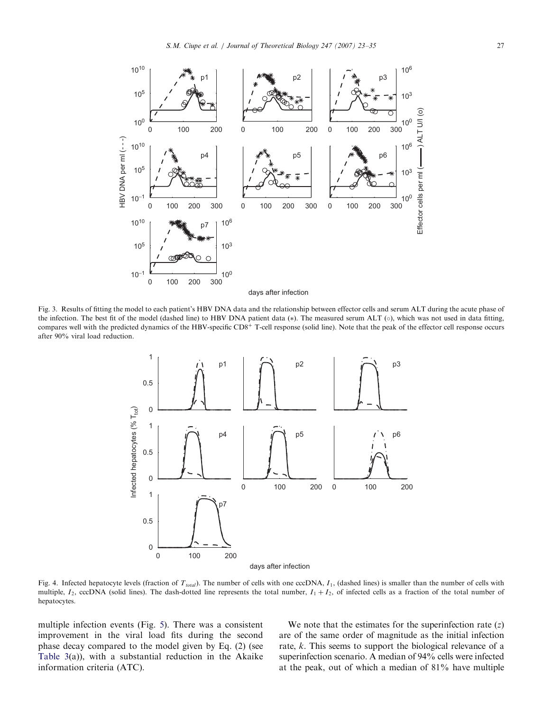<span id="page-4-0"></span>

Fig. 3. Results of fitting the model to each patient's HBV DNA data and the relationship between effector cells and serum ALT during the acute phase of the infection. The best fit of the model (dashed line) to HBV DNA patient data  $(*)$ . The measured serum ALT  $(\circ)$ , which was not used in data fitting, compares well with the predicted dynamics of the HBV-specific  $CD8<sup>+</sup>$  T-cell response (solid line). Note that the peak of the effector cell response occurs after 90% viral load reduction.



Fig. 4. Infected hepatocyte levels (fraction of  $T_{total}$ ). The number of cells with one cccDNA,  $I_1$ , (dashed lines) is smaller than the number of cells with multiple,  $I_2$ , cccDNA (solid lines). The dash-dotted line represents the total number,  $I_1 + I_2$ , of infected cells as a fraction of the total number of hepatocytes.

multiple infection events (Fig. [5](#page-5-0)). There was a consistent improvement in the viral load fits during the second phase decay compared to the model given by Eq. (2) (see [Table 3\(](#page-6-0)a)), with a substantial reduction in the Akaike information criteria (ATC).

We note that the estimates for the superinfection rate  $(z)$ are of the same order of magnitude as the initial infection rate, k. This seems to support the biological relevance of a superinfection scenario. A median of 94% cells were infected at the peak, out of which a median of 81% have multiple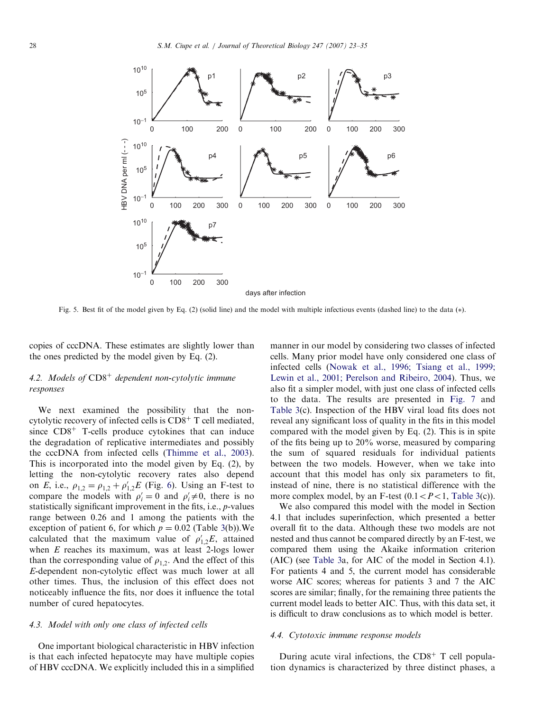<span id="page-5-0"></span>

Fig. 5. Best fit of the model given by Eq. (2) (solid line) and the model with multiple infectious events (dashed line) to the data  $(*)$ .

copies of cccDNA. These estimates are slightly lower than the ones predicted by the model given by Eq. (2).

# 4.2. Models of  $CD8<sup>+</sup>$  dependent non-cytolytic immune responses

We next examined the possibility that the noncytolytic recovery of infected cells is  $CD8<sup>+</sup>$  T cell mediated, since  $CD8<sup>+</sup>$  T-cells produce cytokines that can induce the degradation of replicative intermediates and possibly the cccDNA from infected cells [\(Thimme et al., 2003\)](#page-12-0). This is incorporated into the model given by Eq. (2), by letting the non-cytolytic recovery rates also depend on E, i.e.,  $\rho_{1,2} = \rho_{1,2} + \rho'_{1,2}E$  (Fig. [6\)](#page-7-0). Using an F-test to compare the models with  $\rho'_i = 0$  and  $\rho'_i \neq 0$ , there is no statistically significant improvement in the fits, i.e., p-values range between 0:26 and 1 among the patients with the exception of patient 6, for which  $p = 0.02$  (Table [3](#page-6-0)(b)). We calculated that the maximum value of  $\rho'_{1,2}E$ , attained when  $E$  reaches its maximum, was at least 2-logs lower than the corresponding value of  $\rho_{1,2}$ . And the effect of this E-dependent non-cytolytic effect was much lower at all other times. Thus, the inclusion of this effect does not noticeably influence the fits, nor does it influence the total number of cured hepatocytes.

# 4.3. Model with only one class of infected cells

One important biological characteristic in HBV infection is that each infected hepatocyte may have multiple copies of HBV cccDNA. We explicitly included this in a simplified

manner in our model by considering two classes of infected cells. Many prior model have only considered one class of infected cells [\(Nowak et al., 1996; Tsiang et al., 1999;](#page-11-0) [Lewin et al., 2001; Perelson and Ribeiro, 2004\)](#page-11-0). Thus, we also fit a simpler model, with just one class of infected cells to the data. The results are presented in [Fig. 7](#page-7-0) and [Table 3](#page-6-0)(c). Inspection of the HBV viral load fits does not reveal any significant loss of quality in the fits in this model compared with the model given by Eq. (2). This is in spite of the fits being up to 20% worse, measured by comparing the sum of squared residuals for individual patients between the two models. However, when we take into account that this model has only six parameters to fit, instead of nine, there is no statistical difference with the more complex model, by an F-test  $(0.1 < P < 1$ , [Table 3\(](#page-6-0)c)).

We also compared this model with the model in Section 4.1 that includes superinfection, which presented a better overall fit to the data. Although these two models are not nested and thus cannot be compared directly by an F-test, we compared them using the Akaike information criterion (AIC) (see [Table 3](#page-6-0)a, for AIC of the model in Section 4.1). For patients 4 and 5, the current model has considerable worse AIC scores; whereas for patients 3 and 7 the AIC scores are similar; finally, for the remaining three patients the current model leads to better AIC. Thus, with this data set, it is difficult to draw conclusions as to which model is better.

#### 4.4. Cytotoxic immune response models

During acute viral infections, the  $CD8<sup>+</sup>$  T cell population dynamics is characterized by three distinct phases, a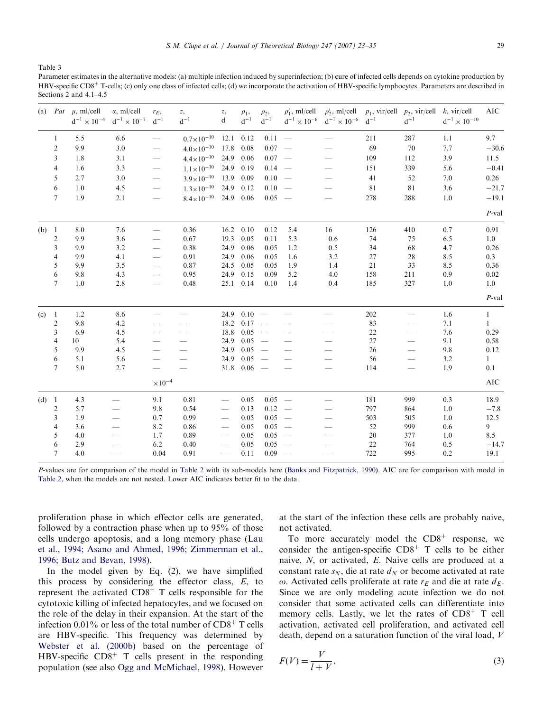<span id="page-6-0"></span>Table 3

Parameter estimates in the alternative models: (a) multiple infection induced by superinfection; (b) cure of infected cells depends on cytokine production by  $HBV\text{-}specific CDS<sup>+</sup> T-cells: (c) only one class of infected cells: (d) we incorporate the activation of HBV\text{-}specific lumbovers. Parameters are described in$ Sections 2 and 4.1–4.5

|         |                | (a) $Pat \mu$ , ml/cell<br>$\rm{d^{-1}}\times 10^{-4}$ | $\alpha$ , ml/cell<br>$\rm{d^{-1}}\times 10^{-7}$ | $r_E$ ,<br>$\mathrm{d}^{-1}$   | Ζ,<br>$d^{-1}$        | τ,<br>d                  | $\rho_1$ ,<br>$d^{-1}$ | $\rho_2$ ,<br>$d^{-1}$   | $\rho'_1$ , ml/cell | $\rho'_2$ , ml/cell<br>$\rm{d^{-1}}\times 10^{-6}$ $\rm\,d^{-1}\times 10^{-6}$ | $\mathrm{d}^{-1}$ | $p_1$ , vir/cell $p_2$ , vir/cell k, vir/cell<br>$d^{-1}$ | $\mathrm{d}^{-1}\times 10^{-10}$ | AIC          |
|---------|----------------|--------------------------------------------------------|---------------------------------------------------|--------------------------------|-----------------------|--------------------------|------------------------|--------------------------|---------------------|--------------------------------------------------------------------------------|-------------------|-----------------------------------------------------------|----------------------------------|--------------|
|         | 1              | 5.5                                                    | 6.6                                               | $\qquad \qquad \longleftarrow$ | $0.7 \times 10^{-10}$ | 12.1                     | 0.12                   | $0.11 =$                 |                     |                                                                                | 211               | 287                                                       | 1.1                              | 9.7          |
|         | 2              | 9.9                                                    | 3.0                                               |                                | $4.0 \times 10^{-10}$ | 17.8                     | 0.08                   | $0.07 -$                 |                     |                                                                                | 69                | 70                                                        | 7.7                              | $-30.6$      |
|         | 3              | 1.8                                                    | 3.1                                               | $\qquad \qquad$                | $4.4 \times 10^{-10}$ | 24.9                     | 0.06                   | $0.07 -$                 |                     |                                                                                | 109               | 112                                                       | 3.9                              | 11.5         |
|         | $\overline{4}$ | 1.6                                                    | 3.3                                               | $\overline{\phantom{0}}$       | $1.1 \times 10^{-10}$ | 24.9                     | 0.19                   | $0.14 =$                 |                     |                                                                                | 151               | 339                                                       | 5.6                              | $-0.41$      |
|         | 5              | 2.7                                                    | 3.0                                               |                                | $3.9 \times 10^{-10}$ | 13.9                     | 0.09                   | $0.10 =$                 |                     |                                                                                | 41                | 52                                                        | 7.0                              | 0.26         |
|         | 6              | 1.0                                                    | 4.5                                               |                                | $1.3 \times 10^{-10}$ | 24.9                     | 0.12                   | $0.10 =$                 |                     |                                                                                | 81                | 81                                                        | 3.6                              | $-21.7$      |
|         | $\overline{7}$ | 1.9                                                    | 2.1                                               |                                | $8.4 \times 10^{-10}$ |                          | 24.9 0.06              | $0.05 =$                 |                     |                                                                                | 278               | 288                                                       | $1.0\,$                          | $-19.1$      |
|         |                |                                                        |                                                   |                                |                       |                          |                        |                          |                     |                                                                                |                   |                                                           |                                  | $P$ -val     |
| (b) 1   |                | 8.0                                                    | 7.6                                               | $\overline{\phantom{0}}$       | 0.36                  | 16.2                     | 0.10                   | 0.12                     | 5.4                 | 16                                                                             | 126               | 410                                                       | $0.7\,$                          | 0.91         |
|         | 2              | 9.9                                                    | 3.6                                               |                                | 0.67                  | 19.3                     | 0.05                   | 0.11                     | 5.3                 | 0.6                                                                            | 74                | 75                                                        | 6.5                              | 1.0          |
|         | 3              | 9.9                                                    | 3.2                                               | $\overline{\phantom{0}}$       | 0.38                  | 24.9                     | 0.06                   | 0.05                     | 1.2                 | 0.5                                                                            | 34                | 68                                                        | 4.7                              | 0.26         |
|         | $\overline{4}$ | 9.9                                                    | 4.1                                               | $\overline{\phantom{0}}$       | 0.91                  | 24.9                     | 0.06                   | 0.05                     | 1.6                 | 3.2                                                                            | 27                | 28                                                        | 8.5                              | 0.3          |
|         | 5              | 9.9                                                    | 3.5                                               | $\qquad \qquad$                | 0.87                  | 24.5                     | 0.05                   | 0.05                     | 1.9                 | 1.4                                                                            | 21                | 33                                                        | 8.5                              | 0.36         |
|         | 6              | 9.8                                                    | 4.3                                               | $\overline{\phantom{0}}$       | 0.95                  | 24.9                     | 0.15                   | 0.09                     | 5.2                 | 4.0                                                                            | 158               | 211                                                       | 0.9                              | $0.02\,$     |
|         | 7              | 1.0                                                    | 2.8                                               | $\overline{\phantom{m}}$       | 0.48                  | 25.1                     | 0.14                   | 0.10                     | 1.4                 | 0.4                                                                            | 185               | 327                                                       | 1.0                              | 1.0          |
|         |                |                                                        |                                                   |                                |                       |                          |                        |                          |                     |                                                                                |                   |                                                           |                                  | $P$ -val     |
| $(c)$ 1 |                | 1.2                                                    | 8.6                                               |                                |                       | 24.9                     | $0.10 =$               |                          |                     |                                                                                | 202               |                                                           | 1.6                              | $\mathbf{1}$ |
|         | 2              | 9.8                                                    | 4.2                                               |                                |                       | 18.2                     | 0.17                   | $\sim$                   |                     |                                                                                | 83                | $\overline{\phantom{0}}$                                  | 7.1                              | $\mathbf{1}$ |
|         | 3              | 6.9                                                    | 4.5                                               |                                |                       | 18.8                     | 0.05                   | $\overline{\phantom{a}}$ |                     |                                                                                | 22                |                                                           | 7.6                              | 0.29         |
|         | 4              | 10                                                     | 5.4                                               |                                |                       | 24.9                     | 0.05                   | $\sim$                   |                     |                                                                                | $27\,$            |                                                           | 9.1                              | 0.58         |
|         | 5              | 9.9                                                    | 4.5                                               |                                |                       | 24.9                     | 0.05                   | $\overline{\phantom{a}}$ |                     |                                                                                | 26                |                                                           | 9.8                              | 0.12         |
|         | 6              | 5.1                                                    | 5.6                                               |                                |                       | 24.9                     | 0.05                   | $\frac{1}{2}$            |                     |                                                                                | 56                |                                                           | 3.2                              | $\mathbf{1}$ |
|         | 7              | 5.0                                                    | 2.7                                               |                                |                       | 31.8                     | $0.06 =$               |                          |                     |                                                                                | 114               |                                                           | 1.9                              | 0.1          |
|         |                |                                                        |                                                   | $\times 10^{-4}$               |                       |                          |                        |                          |                     |                                                                                |                   |                                                           |                                  | <b>AIC</b>   |
| $(d)$ 1 |                | 4.3                                                    |                                                   | 9.1                            | 0.81                  |                          | 0.05                   | $0.05 -$                 |                     |                                                                                | 181               | 999                                                       | 0.3                              | 18.9         |
|         | 2              | 5.7                                                    |                                                   | 9.8                            | 0.54                  | $\overline{\phantom{a}}$ | 0.13                   | $0.12 =$                 |                     |                                                                                | 797               | 864                                                       | 1.0                              | $-7.8$       |
|         | 3              | 1.9                                                    |                                                   | 0.7                            | 0.99                  | $\qquad \qquad$          | 0.05                   | $0.05 =$                 |                     |                                                                                | 503               | 505                                                       | 1.0                              | 12.5         |
|         | 4              | 3.6                                                    |                                                   | 8.2                            | 0.86                  | $\qquad \qquad$          | 0.05                   | $0.05 =$                 |                     |                                                                                | 52                | 999                                                       | 0.6                              | 9            |
|         | 5              | 4.0                                                    |                                                   | 1.7                            | 0.89                  | $\qquad \qquad$          | 0.05                   | $0.05 =$                 |                     |                                                                                | 20                | 377                                                       | 1.0                              | 8.5          |
|         | 6              | 2.9                                                    |                                                   | 6.2                            | 0.40                  | $\qquad \qquad$          | 0.05                   | $0.05 =$                 |                     |                                                                                | 22                | 764                                                       | 0.5                              | $-14.7$      |
|         | 7              | 4.0                                                    |                                                   | 0.04                           | 0.91                  |                          | 0.11                   | $0.09 =$                 |                     |                                                                                | 722               | 995                                                       | 0.2                              | 19.1         |

P-values are for comparison of the model in [Table 2](#page-3-0) with its sub-models here [\(Banks and Fitzpatrick, 1990](#page-11-0)). AIC are for comparison with model in [Table 2](#page-3-0), when the models are not nested. Lower AIC indicates better fit to the data.

proliferation phase in which effector cells are generated, followed by a contraction phase when up to 95% of those cells undergo apoptosis, and a long memory phase [\(Lau](#page-11-0) [et al., 1994; Asano and Ahmed, 1996; Zimmerman et al.,](#page-11-0) [1996; Butz and Bevan, 1998\)](#page-11-0).

In the model given by Eq. (2), we have simplified this process by considering the effector class, E, to represent the activated  $CD8<sup>+</sup>$  T cells responsible for the cytotoxic killing of infected hepatocytes, and we focused on the role of the delay in their expansion. At the start of the infection 0.01% or less of the total number of  $CD8<sup>+</sup>$  T cells are HBV-specific. This frequency was determined by [Webster et al. \(2000b\)](#page-12-0) based on the percentage of HBV-specific  $CD8<sup>+</sup>$  T cells present in the responding population (see also [Ogg and McMichael, 1998\)](#page-11-0). However

at the start of the infection these cells are probably naive, not activated.

To more accurately model the  $CD8<sup>+</sup>$  response, we consider the antigen-specific  $CD8<sup>+</sup>$  T cells to be either naive, N, or activated, E. Naive cells are produced at a constant rate  $s_N$ , die at rate  $d_N$  or become activated at rate  $\omega$ . Activated cells proliferate at rate  $r_E$  and die at rate  $d_E$ . Since we are only modeling acute infection we do not consider that some activated cells can differentiate into memory cells. Lastly, we let the rates of  $CD8<sup>+</sup>$  T cell activation, activated cell proliferation, and activated cell death, depend on a saturation function of the viral load, V

$$
F(V) = \frac{V}{l+V},\tag{3}
$$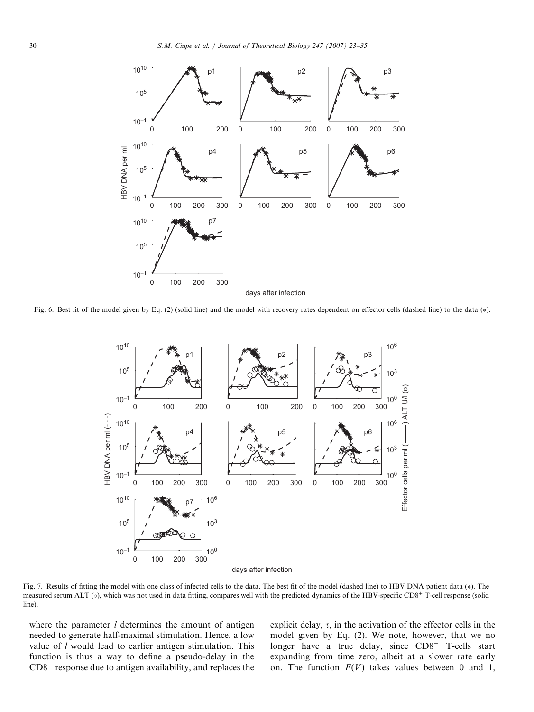<span id="page-7-0"></span>

Fig. 6. Best fit of the model given by Eq. (2) (solid line) and the model with recovery rates dependent on effector cells (dashed line) to the data (\*).



Fig. 7. Results of fitting the model with one class of infected cells to the data. The best fit of the model (dashed line) to HBV DNA patient data (\*). The measured serum ALT ( $\circ$ ), which was not used in data fitting, compares well with the predicted dynamics of the HBV-specific CD8<sup>+</sup> T-cell response (solid line).

where the parameter  $l$  determines the amount of antigen needed to generate half-maximal stimulation. Hence, a low value of *l* would lead to earlier antigen stimulation. This function is thus a way to define a pseudo-delay in the  $CD8<sup>+</sup>$  response due to antigen availability, and replaces the explicit delay,  $\tau$ , in the activation of the effector cells in the model given by Eq. (2). We note, however, that we no longer have a true delay, since  $CD8<sup>+</sup>$  T-cells start expanding from time zero, albeit at a slower rate early on. The function  $F(V)$  takes values between 0 and 1,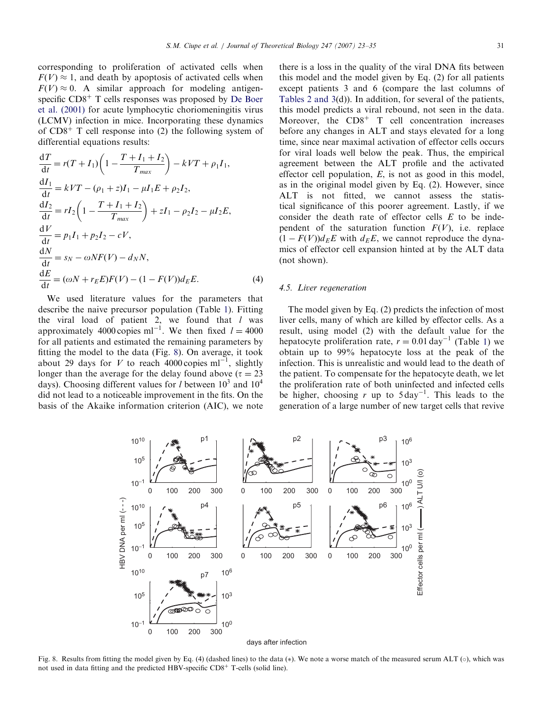corresponding to proliferation of activated cells when  $F(V) \approx 1$ , and death by apoptosis of activated cells when  $F(V) \approx 0$ . A similar approach for modeling antigenspecific  $CD8<sup>+</sup>$  T cells responses was proposed by [De Boer](#page-11-0) [et al. \(2001\)](#page-11-0) for acute lymphocytic choriomeningitis virus (LCMV) infection in mice. Incorporating these dynamics of  $CD8<sup>+</sup>$  T cell response into (2) the following system of differential equations results:

$$
\frac{dT}{dt} = r(T + I_1) \left( 1 - \frac{T + I_1 + I_2}{T_{max}} \right) - kVT + \rho_1 I_1,
$$
  
\n
$$
\frac{dI_1}{dt} = kVT - (\rho_1 + z)I_1 - \mu I_1 E + \rho_2 I_2,
$$
  
\n
$$
\frac{dI_2}{dt} = rI_2 \left( 1 - \frac{T + I_1 + I_2}{T_{max}} \right) + zI_1 - \rho_2 I_2 - \mu I_2 E,
$$
  
\n
$$
\frac{dV}{dt} = p_1 I_1 + p_2 I_2 - cV,
$$
  
\n
$$
\frac{dN}{dt} = s_N - \omega NF(V) - d_N N,
$$
  
\n
$$
\frac{dE}{dt} = (\omega N + r_E E)F(V) - (1 - F(V))d_E E.
$$
\n(4)

We used literature values for the parameters that describe the naive precursor population (Table [1\)](#page-3-0). Fitting the viral load of patient 2, we found that  $l$  was approximately 4000 copies ml<sup>-1</sup>. We then fixed  $l = 4000$ for all patients and estimated the remaining parameters by fitting the model to the data (Fig. 8). On average, it took about 29 days for V to reach 4000 copies  $ml^{-1}$ , slightly longer than the average for the delay found above ( $\tau = 23$ ) days). Choosing different values for l between  $10^3$  and  $10^4$ did not lead to a noticeable improvement in the fits. On the basis of the Akaike information criterion (AIC), we note there is a loss in the quality of the viral DNA fits between this model and the model given by Eq. (2) for all patients except patients 3 and 6 (compare the last columns of [Tables 2 and 3\(](#page-3-0)d)). In addition, for several of the patients, this model predicts a viral rebound, not seen in the data. Moreover, the  $CD8<sup>+</sup>$  T cell concentration increases before any changes in ALT and stays elevated for a long time, since near maximal activation of effector cells occurs for viral loads well below the peak. Thus, the empirical agreement between the ALT profile and the activated effector cell population,  $E$ , is not as good in this model, as in the original model given by Eq. (2). However, since ALT is not fitted, we cannot assess the statistical significance of this poorer agreement. Lastly, if we consider the death rate of effector cells  $E$  to be independent of the saturation function  $F(V)$ , i.e. replace  $(1 - F(V))d_E E$  with  $d_E E$ , we cannot reproduce the dynamics of effector cell expansion hinted at by the ALT data

#### 4.5. Liver regeneration

(not shown).

The model given by Eq. (2) predicts the infection of most liver cells, many of which are killed by effector cells. As a result, using model (2) with the default value for the hepatocyte proliferation rate,  $r = 0.01 \text{ day}^{-1}$  (Table [1\)](#page-3-0) we obtain up to 99% hepatocyte loss at the peak of the infection. This is unrealistic and would lead to the death of the patient. To compensate for the hepatocyte death, we let the proliferation rate of both uninfected and infected cells be higher, choosing r up to  $5 \text{ day}^{-1}$ . This leads to the generation of a large number of new target cells that revive





days after infection

Fig. 8. Results from fitting the model given by Eq. (4) (dashed lines) to the data  $(*)$ . We note a worse match of the measured serum ALT  $(\circ)$ , which was not used in data fitting and the predicted HBV-specific  $CD8<sup>+</sup>$  T-cells (solid line).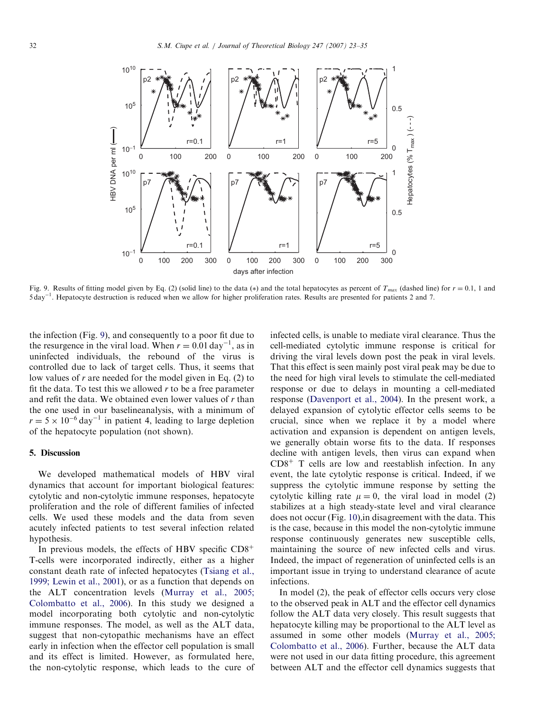

Fig. 9. Results of fitting model given by Eq. (2) (solid line) to the data (\*) and the total hepatocytes as percent of  $T_{max}$  (dashed line) for  $r = 0.1$ , 1 and 5 day<sup>-1</sup>. Hepatocyte destruction is reduced when we allow for higher proliferation rates. Results are presented for patients 2 and 7.

the infection (Fig. 9), and consequently to a poor fit due to the resurgence in the viral load. When  $r = 0.01 \text{ day}^{-1}$ , as in uninfected individuals, the rebound of the virus is controlled due to lack of target cells. Thus, it seems that low values of  $r$  are needed for the model given in Eq. (2) to fit the data. To test this we allowed  $r$  to be a free parameter and refit the data. We obtained even lower values of  $r$  than the one used in our baselineanalysis, with a minimum of  $r = 5 \times 10^{-6}$  day<sup>-1</sup> in patient 4, leading to large depletion of the hepatocyte population (not shown).

#### 5. Discussion

We developed mathematical models of HBV viral dynamics that account for important biological features: cytolytic and non-cytolytic immune responses, hepatocyte proliferation and the role of different families of infected cells. We used these models and the data from seven acutely infected patients to test several infection related hypothesis.

In previous models, the effects of HBV specific  $CD8<sup>+</sup>$ T-cells were incorporated indirectly, either as a higher constant death rate of infected hepatocytes ([Tsiang et al.,](#page-12-0) [1999; Lewin et al., 2001\)](#page-12-0), or as a function that depends on the ALT concentration levels ([Murray et al., 2005;](#page-11-0) [Colombatto et al., 2006](#page-11-0)). In this study we designed a model incorporating both cytolytic and non-cytolytic immune responses. The model, as well as the ALT data, suggest that non-cytopathic mechanisms have an effect early in infection when the effector cell population is small and its effect is limited. However, as formulated here, the non-cytolytic response, which leads to the cure of infected cells, is unable to mediate viral clearance. Thus the cell-mediated cytolytic immune response is critical for driving the viral levels down post the peak in viral levels. That this effect is seen mainly post viral peak may be due to the need for high viral levels to stimulate the cell-mediated response or due to delays in mounting a cell-mediated response ([Davenport et al., 2004](#page-11-0)). In the present work, a delayed expansion of cytolytic effector cells seems to be crucial, since when we replace it by a model where activation and expansion is dependent on antigen levels, we generally obtain worse fits to the data. If responses decline with antigen levels, then virus can expand when  $CD8<sup>+</sup>$  T cells are low and reestablish infection. In any event, the late cytolytic response is critical. Indeed, if we suppress the cytolytic immune response by setting the cytolytic killing rate  $\mu = 0$ , the viral load in model (2) stabilizes at a high steady-state level and viral clearance does not occur (Fig. [10\)](#page-10-0),in disagreement with the data. This is the case, because in this model the non-cytolytic immune response continuously generates new susceptible cells, maintaining the source of new infected cells and virus. Indeed, the impact of regeneration of uninfected cells is an important issue in trying to understand clearance of acute infections.

In model (2), the peak of effector cells occurs very close to the observed peak in ALT and the effector cell dynamics follow the ALT data very closely. This result suggests that hepatocyte killing may be proportional to the ALT level as assumed in some other models ([Murray et al., 2005;](#page-11-0) [Colombatto et al., 2006\)](#page-11-0). Further, because the ALT data were not used in our data fitting procedure, this agreement between ALT and the effector cell dynamics suggests that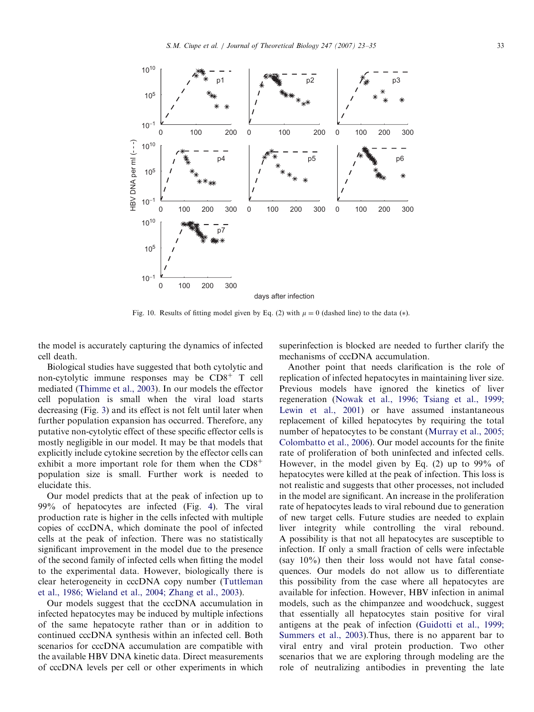<span id="page-10-0"></span>

Fig. 10. Results of fitting model given by Eq. (2) with  $\mu = 0$  (dashed line) to the data (\*).

the model is accurately capturing the dynamics of infected cell death.

Biological studies have suggested that both cytolytic and non-cytolytic immune responses may be  $CD8<sup>+</sup>$  T cell mediated ([Thimme et al., 2003\)](#page-12-0). In our models the effector cell population is small when the viral load starts decreasing (Fig. [3](#page-4-0)) and its effect is not felt until later when further population expansion has occurred. Therefore, any putative non-cytolytic effect of these specific effector cells is mostly negligible in our model. It may be that models that explicitly include cytokine secretion by the effector cells can exhibit a more important role for them when the  $CD8<sup>+</sup>$ population size is small. Further work is needed to elucidate this.

Our model predicts that at the peak of infection up to 99% of hepatocytes are infected (Fig. [4](#page-4-0)). The viral production rate is higher in the cells infected with multiple copies of cccDNA, which dominate the pool of infected cells at the peak of infection. There was no statistically significant improvement in the model due to the presence of the second family of infected cells when fitting the model to the experimental data. However, biologically there is clear heterogeneity in cccDNA copy number ([Tuttleman](#page-12-0) [et al., 1986; Wieland et al., 2004; Zhang et al., 2003\)](#page-12-0).

Our models suggest that the cccDNA accumulation in infected hepatocytes may be induced by multiple infections of the same hepatocyte rather than or in addition to continued cccDNA synthesis within an infected cell. Both scenarios for cccDNA accumulation are compatible with the available HBV DNA kinetic data. Direct measurements of cccDNA levels per cell or other experiments in which superinfection is blocked are needed to further clarify the mechanisms of cccDNA accumulation.

Another point that needs clarification is the role of replication of infected hepatocytes in maintaining liver size. Previous models have ignored the kinetics of liver regeneration [\(Nowak et al., 1996; Tsiang et al., 1999;](#page-11-0) [Lewin et al., 2001\)](#page-11-0) or have assumed instantaneous replacement of killed hepatocytes by requiring the total number of hepatocytes to be constant ([Murray et al., 2005;](#page-11-0) [Colombatto et al., 2006](#page-11-0)). Our model accounts for the finite rate of proliferation of both uninfected and infected cells. However, in the model given by Eq. (2) up to 99% of hepatocytes were killed at the peak of infection. This loss is not realistic and suggests that other processes, not included in the model are significant. An increase in the proliferation rate of hepatocytes leads to viral rebound due to generation of new target cells. Future studies are needed to explain liver integrity while controlling the viral rebound. A possibility is that not all hepatocytes are susceptible to infection. If only a small fraction of cells were infectable (say 10%) then their loss would not have fatal consequences. Our models do not allow us to differentiate this possibility from the case where all hepatocytes are available for infection. However, HBV infection in animal models, such as the chimpanzee and woodchuck, suggest that essentially all hepatocytes stain positive for viral antigens at the peak of infection ([Guidotti et al., 1999;](#page-11-0) [Summers et al., 2003](#page-11-0)).Thus, there is no apparent bar to viral entry and viral protein production. Two other scenarios that we are exploring through modeling are the role of neutralizing antibodies in preventing the late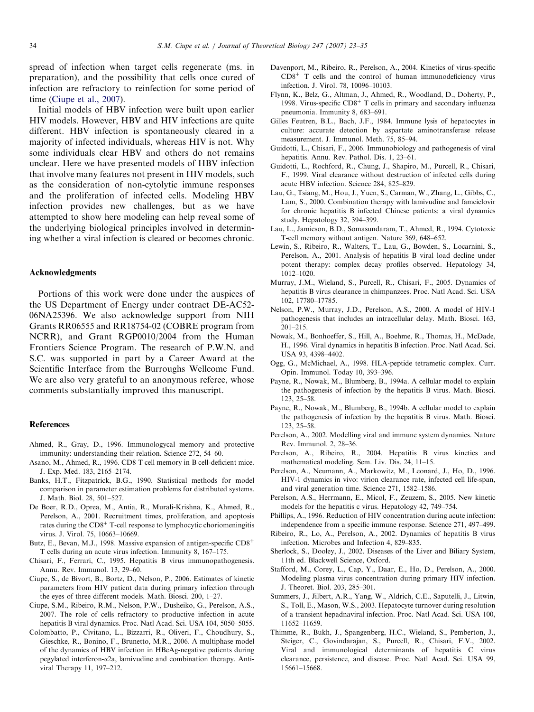<span id="page-11-0"></span>spread of infection when target cells regenerate (ms. in preparation), and the possibility that cells once cured of infection are refractory to reinfection for some period of time (Ciupe et al., 2007).

Initial models of HBV infection were built upon earlier HIV models. However, HBV and HIV infections are quite different. HBV infection is spontaneously cleared in a majority of infected individuals, whereas HIV is not. Why some individuals clear HBV and others do not remains unclear. Here we have presented models of HBV infection that involve many features not present in HIV models, such as the consideration of non-cytolytic immune responses and the proliferation of infected cells. Modeling HBV infection provides new challenges, but as we have attempted to show here modeling can help reveal some of the underlying biological principles involved in determining whether a viral infection is cleared or becomes chronic.

#### Acknowledgments

Portions of this work were done under the auspices of the US Department of Energy under contract DE-AC52- 06NA25396. We also acknowledge support from NIH Grants RR06555 and RR18754-02 (COBRE program from NCRR), and Grant RGP0010/2004 from the Human Frontiers Science Program. The research of P.W.N. and S.C. was supported in part by a Career Award at the Scientific Interface from the Burroughs Wellcome Fund. We are also very grateful to an anonymous referee, whose comments substantially improved this manuscript.

#### References

- Ahmed, R., Gray, D., 1996. Immunologycal memory and protective immunity: understanding their relation. Science 272, 54–60.
- Asano, M., Ahmed, R., 1996. CD8 T cell memory in B cell-deficient mice. J. Exp. Med. 183, 2165–2174.
- Banks, H.T., Fitzpatrick, B.G., 1990. Statistical methods for model comparison in parameter estimation problems for distributed systems. J. Math. Biol. 28, 501–527.
- De Boer, R.D., Oprea, M., Antia, R., Murali-Krishna, K., Ahmed, R., Perelson, A., 2001. Recruitment times, proliferation, and apoptosis rates during the  $CD8<sup>+</sup>$  T-cell response to lymphocytic choriomeningitis virus. J. Virol. 75, 10663–10669.
- Butz, E., Bevan, M.J., 1998. Massive expansion of antigen-specific  $CD8<sup>+</sup>$ T cells during an acute virus infection. Immunity 8, 167–175.
- Chisari, F., Ferrari, C., 1995. Hepatitis B virus immunopathogenesis. Annu. Rev. Immunol. 13, 29–60.
- Ciupe, S., de Bivort, B., Bortz, D., Nelson, P., 2006. Estimates of kinetic parameters from HIV patient data during primary infection through the eyes of three different models. Math. Biosci. 200, 1–27.
- Ciupe, S.M., Ribeiro, R.M., Nelson, P.W., Dusheiko, G., Perelson, A.S., 2007. The role of cells refractory to productive infection in acute hepatitis B viral dynamics. Proc. Natl Acad. Sci. USA 104, 5050–5055.
- Colombatto, P., Civitano, L., Bizzarri, R., Oliveri, F., Choudhury, S., Gieschke, R., Bonino, F., Brunetto, M.R., 2006. A multiphase model of the dynamics of HBV infection in HBeAg-negative patients during pegylated interferon-a2a, lamivudine and combination therapy. Antiviral Therapy 11, 197–212.
- Davenport, M., Ribeiro, R., Perelson, A., 2004. Kinetics of virus-specific  $CD8<sup>+</sup>$  T cells and the control of human immunodeficiency virus infection. J. Virol. 78, 10096–10103.
- Flynn, K., Belz, G., Altman, J., Ahmed, R., Woodland, D., Doherty, P., 1998. Virus-specific  $CD8<sup>+</sup>$  T cells in primary and secondary influenza pneumonia. Immunity 8, 683–691.
- Gilles Feutren, B.L., Bach, J.F., 1984. Immune lysis of hepatocytes in culture: accurate detection by aspartate aminotransferase release measurement. J. Immunol. Meth. 75, 85–94.
- Guidotti, L., Chisari, F., 2006. Immunobiology and pathogenesis of viral hepatitis. Annu. Rev. Pathol. Dis. 1, 23–61.
- Guidotti, L., Rochford, R., Chung, J., Shapiro, M., Purcell, R., Chisari, F., 1999. Viral clearance without destruction of infected cells during acute HBV infection. Science 284, 825–829.
- Lau, G., Tsiang, M., Hou, J., Yuen, S., Carman, W., Zhang, L., Gibbs, C., Lam, S., 2000. Combination therapy with lamivudine and famciclovir for chronic hepatitis B infected Chinese patients: a viral dynamics study. Hepatology 32, 394–399.
- Lau, L., Jamieson, B.D., Somasundaram, T., Ahmed, R., 1994. Cytotoxic T-cell memory without antigen. Nature 369, 648–652.
- Lewin, S., Ribeiro, R., Walters, T., Lau, G., Bowden, S., Locarnini, S., Perelson, A., 2001. Analysis of hepatitis B viral load decline under potent therapy: complex decay profiles observed. Hepatology 34, 1012–1020.
- Murray, J.M., Wieland, S., Purcell, R., Chisari, F., 2005. Dynamics of hepatitis B virus clearance in chimpanzees. Proc. Natl Acad. Sci. USA 102, 17780–17785.
- Nelson, P.W., Murray, J.D., Perelson, A.S., 2000. A model of HIV-1 pathogenesis that includes an intracellular delay. Math. Biosci. 163, 201–215.
- Nowak, M., Bonhoeffer, S., Hill, A., Boehme, R., Thomas, H., McDade, H., 1996. Viral dynamics in hepatitis B infection. Proc. Natl Acad. Sci. USA 93, 4398–4402.
- Ogg, G., McMichael, A., 1998. HLA-peptide tetrametic complex. Curr. Opin. Immunol. Today 10, 393–396.
- Payne, R., Nowak, M., Blumberg, B., 1994a. A cellular model to explain the pathogenesis of infection by the hepatitis B virus. Math. Biosci. 123, 25–58.
- Payne, R., Nowak, M., Blumberg, B., 1994b. A cellular model to explain the pathogenesis of infection by the hepatitis B virus. Math. Biosci. 123, 25–58.
- Perelson, A., 2002. Modelling viral and immune system dynamics. Nature Rev. Immunol. 2, 28–36.
- Perelson, A., Ribeiro, R., 2004. Hepatitis B virus kinetics and mathematical modeling. Sem. Liv. Dis. 24, 11–15.
- Perelson, A., Neumann, A., Markowitz, M., Leonard, J., Ho, D., 1996. HIV-1 dynamics in vivo: virion clearance rate, infected cell life-span, and viral generation time. Science 271, 1582–1586.
- Perelson, A.S., Herrmann, E., Micol, F., Zeuzem, S., 2005. New kinetic models for the hepatitis c virus. Hepatology 42, 749–754.
- Phillips, A., 1996. Reduction of HIV concentration during acute infection: independence from a specific immune response. Science 271, 497–499.
- Ribeiro, R., Lo, A., Perelson, A., 2002. Dynamics of hepatitis B virus infection. Microbes and Infection 4, 829–835.
- Sherlock, S., Dooley, J., 2002. Diseases of the Liver and Biliary System, 11th ed. Blackwell Science, Oxford.
- Stafford, M., Corey, L., Cap, Y., Daar, E., Ho, D., Perelson, A., 2000. Modeling plasma virus concentration during primary HIV infection. J. Theoret. Biol. 203, 285–301.
- Summers, J., Jilbert, A.R., Yang, W., Aldrich, C.E., Saputelli, J., Litwin, S., Toll, E., Mason, W.S., 2003. Hepatocyte turnover during resolution of a transient hepadnaviral infection. Proc. Natl Acad. Sci. USA 100, 11652–11659.
- Thimme, R., Bukh, J., Spangenberg, H.C., Wieland, S., Pemberton, J., Steiger, C., Govindarajan, S., Purcell, R., Chisari, F.V., 2002. Viral and immunological determinants of hepatitis C virus clearance, persistence, and disease. Proc. Natl Acad. Sci. USA 99, 15661–15668.